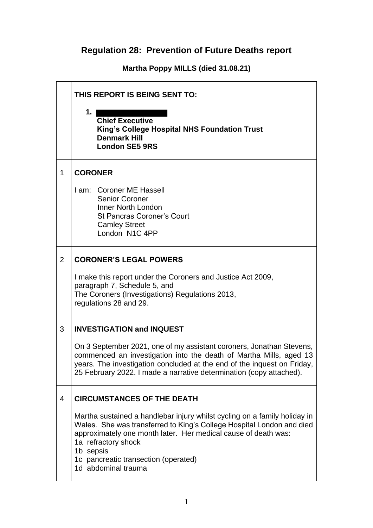## **Regulation 28: Prevention of Future Deaths report**

**Martha Poppy MILLS (died 31.08.21)**

|                | THIS REPORT IS BEING SENT TO:                                                                                                                                                                                                                                                                                           |  |
|----------------|-------------------------------------------------------------------------------------------------------------------------------------------------------------------------------------------------------------------------------------------------------------------------------------------------------------------------|--|
|                | 1.<br><b>Chief Executive</b><br>King's College Hospital NHS Foundation Trust<br><b>Denmark Hill</b><br><b>London SE5 9RS</b>                                                                                                                                                                                            |  |
| 1              | <b>CORONER</b>                                                                                                                                                                                                                                                                                                          |  |
|                | I am: Coroner ME Hassell<br><b>Senior Coroner</b><br>Inner North London<br><b>St Pancras Coroner's Court</b><br><b>Camley Street</b><br>London N1C 4PP                                                                                                                                                                  |  |
| 2              | <b>CORONER'S LEGAL POWERS</b>                                                                                                                                                                                                                                                                                           |  |
|                | I make this report under the Coroners and Justice Act 2009,<br>paragraph 7, Schedule 5, and<br>The Coroners (Investigations) Regulations 2013,<br>regulations 28 and 29.                                                                                                                                                |  |
| 3              | <b>INVESTIGATION and INQUEST</b>                                                                                                                                                                                                                                                                                        |  |
|                | On 3 September 2021, one of my assistant coroners, Jonathan Stevens,<br>commenced an investigation into the death of Martha Mills, aged 13<br>years. The investigation concluded at the end of the inquest on Friday,<br>25 February 2022. I made a narrative determination (copy attached).                            |  |
| $\overline{4}$ | <b>CIRCUMSTANCES OF THE DEATH</b>                                                                                                                                                                                                                                                                                       |  |
|                | Martha sustained a handlebar injury whilst cycling on a family holiday in<br>Wales. She was transferred to King's College Hospital London and died<br>approximately one month later. Her medical cause of death was:<br>1a refractory shock<br>1b sepsis<br>1c pancreatic transection (operated)<br>1d abdominal trauma |  |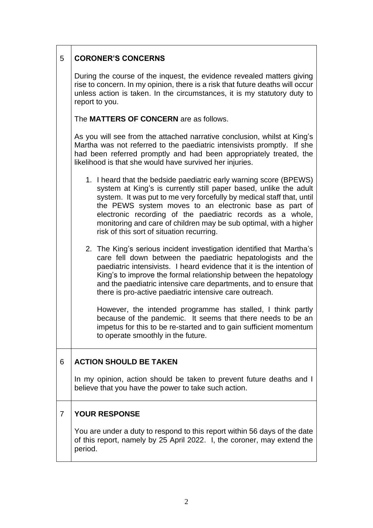| 5   CORONER'S CONCERNS |
|------------------------|

|   | During the course of the inquest, the evidence revealed matters giving<br>rise to concern. In my opinion, there is a risk that future deaths will occur<br>unless action is taken. In the circumstances, it is my statutory duty to<br>report to you.                                                                                                                                                                                                      |  |  |  |  |
|---|------------------------------------------------------------------------------------------------------------------------------------------------------------------------------------------------------------------------------------------------------------------------------------------------------------------------------------------------------------------------------------------------------------------------------------------------------------|--|--|--|--|
|   | The MATTERS OF CONCERN are as follows.                                                                                                                                                                                                                                                                                                                                                                                                                     |  |  |  |  |
|   | As you will see from the attached narrative conclusion, whilst at King's<br>Martha was not referred to the paediatric intensivists promptly. If she<br>had been referred promptly and had been appropriately treated, the<br>likelihood is that she would have survived her injuries.                                                                                                                                                                      |  |  |  |  |
|   | 1. I heard that the bedside paediatric early warning score (BPEWS)<br>system at King's is currently still paper based, unlike the adult<br>system. It was put to me very forcefully by medical staff that, until<br>the PEWS system moves to an electronic base as part of<br>electronic recording of the paediatric records as a whole,<br>monitoring and care of children may be sub optimal, with a higher<br>risk of this sort of situation recurring. |  |  |  |  |
|   | 2. The King's serious incident investigation identified that Martha's<br>care fell down between the paediatric hepatologists and the<br>paediatric intensivists. I heard evidence that it is the intention of<br>King's to improve the formal relationship between the hepatology<br>and the paediatric intensive care departments, and to ensure that<br>there is pro-active paediatric intensive care outreach.                                          |  |  |  |  |
|   | However, the intended programme has stalled, I think partly<br>because of the pandemic. It seems that there needs to be an<br>impetus for this to be re-started and to gain sufficient momentum<br>to operate smoothly in the future.                                                                                                                                                                                                                      |  |  |  |  |
| 6 | <b>ACTION SHOULD BE TAKEN</b>                                                                                                                                                                                                                                                                                                                                                                                                                              |  |  |  |  |
|   | In my opinion, action should be taken to prevent future deaths and I<br>believe that you have the power to take such action.                                                                                                                                                                                                                                                                                                                               |  |  |  |  |
| 7 | <b>YOUR RESPONSE</b>                                                                                                                                                                                                                                                                                                                                                                                                                                       |  |  |  |  |
|   | You are under a duty to respond to this report within 56 days of the date<br>of this report, namely by 25 April 2022. I, the coroner, may extend the<br>period.                                                                                                                                                                                                                                                                                            |  |  |  |  |